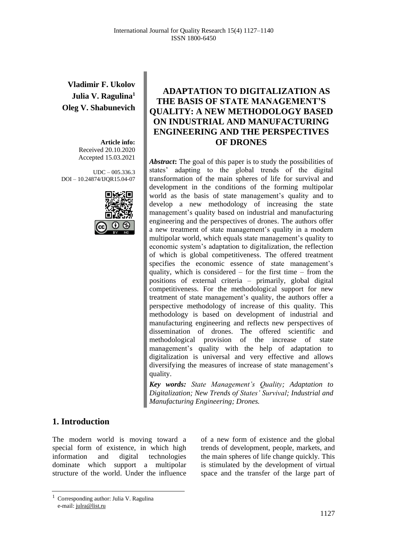**Vladimir F. Ukolov Julia V. Ragulina<sup>1</sup> Oleg V. Shabunevich**

> **Article info:** Received 20.10.2020 Accepted 15.03.2021

UDC – 005.336.3 DOI – 10.24874/IJQR15.04-07



# **ADAPTATION TO DIGITALIZATION AS THE BASIS OF STATE MANAGEMENT'S QUALITY: A NEW METHODOLOGY BASED ON INDUSTRIAL AND MANUFACTURING ENGINEERING AND THE PERSPECTIVES OF DRONES**

Abstract: The goal of this paper is to study the possibilities of states' adapting to the global trends of the digital transformation of the main spheres of life for survival and development in the conditions of the forming multipolar world as the basis of state management's quality and to develop a new methodology of increasing the state management's quality based on industrial and manufacturing engineering and the perspectives of drones. The authors offer a new treatment of state management's quality in a modern multipolar world, which equals state management's quality to economic system's adaptation to digitalization, the reflection of which is global competitiveness. The offered treatment specifies the economic essence of state management's quality, which is considered – for the first time – from the positions of external criteria – primarily, global digital competitiveness. For the methodological support for new treatment of state management's quality, the authors offer a perspective methodology of increase of this quality. This methodology is based on development of industrial and manufacturing engineering and reflects new perspectives of dissemination of drones. The offered scientific and methodological provision of the increase of state management's quality with the help of adaptation to digitalization is universal and very effective and allows diversifying the measures of increase of state management's quality.

*Key words: State Management's Quality; Adaptation to Digitalization; New Trends of States' Survival; Industrial and Manufacturing Engineering; Drones.*

### **1. Introduction**

The modern world is moving toward a special form of existence, in which high information and digital technologies dominate which support a multipolar structure of the world. Under the influence of a new form of existence and the global trends of development, people, markets, and the main spheres of life change quickly. This is stimulated by the development of virtual space and the transfer of the large part of

<sup>1</sup> Corresponding author: Julia V. Ragulina e-mail[: julra@list.ru](http://e.mail.ru/compose/?mailto=mailto%3ajulra@list.ru)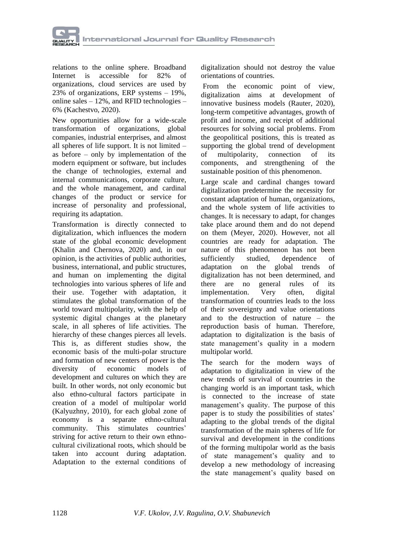

relations to the online sphere. Broadband Internet is accessible for 82% of organizations, cloud services are used by 23% of organizations, ERP systems – 19%, online sales – 12%, and RFID technologies – 6% (Kachestvo, 2020).

New opportunities allow for a wide-scale transformation of organizations, global companies, industrial enterprises, and almost all spheres of life support. It is not limited – as before – only by implementation of the modern equipment or software, but includes the change of technologies, external and internal communications, corporate culture, and the whole management, and cardinal changes of the product or service for increase of personality and professional, requiring its adaptation.

Transformation is directly connected to digitalization, which influences the modern state of the global economic development (Khalin and Chernova, 2020) and, in our opinion, is the activities of public authorities, business, international, and public structures, and human on implementing the digital technologies into various spheres of life and their use. Together with adaptation, it stimulates the global transformation of the world toward multipolarity, with the help of systemic digital changes at the planetary scale, in all spheres of life activities. The hierarchy of these changes pierces all levels. This is, as different studies show, the economic basis of the multi-polar structure and formation of new centers of power is the diversity of economic models of development and cultures on which they are built. In other words, not only economic but also ethno-cultural factors participate in creation of a model of multipolar world (Kalyuzhny, 2010), for each global zone of economy is a separate ethno-cultural community. This stimulates countries' striving for active return to their own ethnocultural civilizational roots, which should be taken into account during adaptation. Adaptation to the external conditions of

digitalization should not destroy the value orientations of countries.

From the economic point of view, digitalization aims at development of innovative business models (Rauter, 2020), long-term competitive advantages, growth of profit and income, and receipt of additional resources for solving social problems. From the geopolitical positions, this is treated as supporting the global trend of development of multipolarity, connection of its components, and strengthening of the sustainable position of this phenomenon.

Large scale and cardinal changes toward digitalization predetermine the necessity for constant adaptation of human, organizations, and the whole system of life activities to changes. It is necessary to adapt, for changes take place around them and do not depend on them (Meyer, 2020). However, not all countries are ready for adaptation. The nature of this phenomenon has not been sufficiently studied, dependence of adaptation on the global trends of digitalization has not been determined, and there are no general rules of its implementation. Very often, digital transformation of countries leads to the loss of their sovereignty and value orientations and to the destruction of nature – the reproduction basis of human. Therefore, adaptation to digitalization is the basis of state management's quality in a modern multipolar world.

The search for the modern ways of adaptation to digitalization in view of the new trends of survival of countries in the changing world is an important task, which is connected to the increase of state management's quality. The purpose of this paper is to study the possibilities of states' adapting to the global trends of the digital transformation of the main spheres of life for survival and development in the conditions of the forming multipolar world as the basis of state management's quality and to develop a new methodology of increasing the state management's quality based on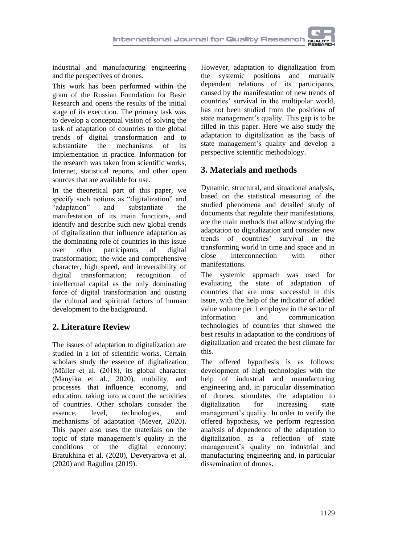industrial and manufacturing engineering and the perspectives of drones.

This work has been performed within the gram of the Russian Foundation for Basic Research and opens the results of the initial stage of its execution. The primary task was to develop a conceptual vision of solving the task of adaptation of countries to the global trends of digital transformation and to substantiate the mechanisms of its implementation in practice. Information for the research was taken from scientific works, Internet, statistical reports, and other open sources that are available for use.

In the theoretical part of this paper, we specify such notions as "digitalization" and<br>"adaptation" and substantiate the "adaptation" and substantiate the manifestation of its main functions, and identify and describe such new global trends of digitalization that influence adaptation as the dominating role of countries in this issue over other participants of digital transformation; the wide and comprehensive character, high speed, and irreversibility of digital transformation; recognition of intellectual capital as the only dominating force of digital transformation and ousting the cultural and spiritual factors of human development to the background.

# **2. Literature Review**

The issues of adaptation to digitalization are studied in a lot of scientific works. Certain scholars study the essence of digitalization (Müller et al. (2018), its global character (Manyika et al., 2020), mobility, and processes that influence economy, and education, taking into account the activities of countries. Other scholars consider the essence, level, technologies, and mechanisms of adaptation (Meyer, 2020). This paper also uses the materials on the topic of state management's quality in the conditions of the digital economy: [Bratukhina](https://orcid.org/0000-0002-9488-8332) et al. (2020), Devetyarova et al. (2020) and [Ragulina](https://www.emerald.com/insight/search?q=Julia%20V.%20Ragulina) (2019).

However, adaptation to digitalization from the systemic positions and mutually dependent relations of its participants, caused by the manifestation of new trends of countries' survival in the multipolar world, has not been studied from the positions of state management's quality. This gap is to be filled in this paper. Here we also study the adaptation to digitalization as the basis of state management's quality and develop a perspective scientific methodology.

# **3. Materials and methods**

Dynamic, structural, and situational analysis, based on the statistical measuring of the studied phenomena and detailed study of documents that regulate their manifestations, are the main methods that allow studying the adaptation to digitalization and consider new trends of countries' survival in the transforming world in time and space and in close interconnection with other manifestations.

The systemic approach was used for evaluating the state of adaptation of countries that are most successful in this issue, with the help of the indicator of added value volume per 1 employee in the sector of information and communication technologies of countries that showed the best results in adaptation to the conditions of digitalization and created the best climate for this.

The offered hypothesis is as follows: development of high technologies with the help of industrial and manufacturing engineering and, in particular dissemination of drones, stimulates the adaptation to digitalization for increasing state management's quality. In order to verify the offered hypothesis, we perform regression analysis of dependence of the adaptation to digitalization as a reflection of state management's quality on industrial and manufacturing engineering and, in particular dissemination of drones.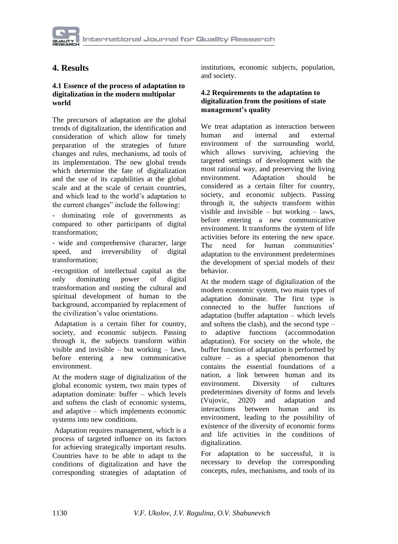## **4. Results**

#### **4.1 Essence of the process of adaptation to digitalization in the modern multipolar world**

The precursors of adaptation are the global trends of digitalization, the identification and consideration of which allow for timely preparation of the strategies of future changes and rules, mechanisms, ad tools of its implementation. The new global trends which determine the fate of digitalization and the use of its capabilities at the global scale and at the scale of certain countries, and which lead to the world's adaptation to the current changes" include the following:

dominating role of governments as compared to other participants of digital transformation;

- wide and comprehensive character, large speed, and irreversibility of digital transformation;

-recognition of intellectual capital as the only dominating power of digital transformation and ousting the cultural and spiritual development of human to the background, accompanied by replacement of the civilization's value orientations.

Adaptation is a certain filter for country, society, and economic subjects. Passing through it, the subjects transform within visible and invisible – but working – laws, before entering a new communicative environment.

At the modern stage of digitalization of the global economic system, two main types of adaptation dominate: buffer – which levels and softens the clash of economic systems, and adaptive – which implements economic systems into new conditions.

Adaptation requires management, which is a process of targeted influence on its factors for achieving strategically important results. Countries have to be able to adapt to the conditions of digitalization and have the corresponding strategies of adaptation of institutions, economic subjects, population, and society.

#### **4.2 Requirements to the adaptation to digitalization from the positions of state management's quality**

We treat adaptation as interaction between human and internal and external environment of the surrounding world, which allows surviving, achieving the targeted settings of development with the most rational way, and preserving the living environment. Adaptation should be considered as a certain filter for country, society, and economic subjects. Passing through it, the subjects transform within visible and invisible – but working – laws, before entering a new communicative environment. It transforms the system of life activities before its entering the new space. The need for human communities' adaptation to the environment predetermines the development of special models of their behavior.

At the modern stage of digitalization of the modern economic system, two main types of adaptation dominate. The first type is connected to the buffer functions of adaptation (buffer adaptation – which levels and softens the clash), and the second type – to adaptive functions (accommodation adaptation). For society on the whole, the buffer function of adaptation is performed by culture – as a special phenomenon that contains the essential foundations of a nation, a link between human and its environment. Diversity of cultures predetermines diversity of forms and levels (Vujovic, 2020) and adaptation and interactions between human and its environment, leading to the possibility of existence of the diversity of economic forms and life activities in the conditions of digitalization.

For adaptation to be successful, it is necessary to develop the corresponding concepts, rules, mechanisms, and tools of its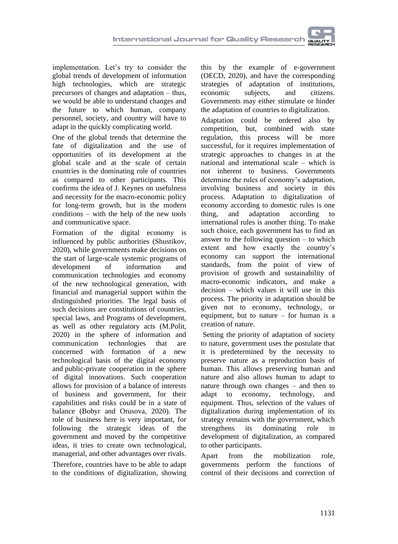implementation. Let's try to consider the global trends of development of information high technologies, which are strategic precursors of changes and adaptation – thus, we would be able to understand changes and the future to which human, company personnel, society, and country will have to adapt in the quickly complicating world.

One of the global trends that determine the fate of digitalization and the use of opportunities of its development at the global scale and at the scale of certain countries is the dominating role of countries as compared to other participants. This confirms the idea of J. Keynes on usefulness and necessity for the macro-economic policy for long-term growth, but in the modern conditions – with the help of the new tools and communicative space.

Formation of the digital economy is influenced by public authorities (Shustikov, 2020), while governments make decisions on the start of large-scale systemic programs of development of information and communication technologies and economy of the new technological generation, with financial and managerial support within the distinguished priorities. The legal basis of such decisions are constitutions of countries, special laws, and Programs of development, as well as other regulatory acts (M.Polit, 2020) in the sphere of information and communication technologies that are concerned with formation of a new technological basis of the digital economy and public-private cooperation in the sphere of digital innovations. Such cooperation allows for provision of a balance of interests of business and government, for their capabilities and risks could be in a state of balance (Bobyr and Orusova, 2020). The role of business here is very important, for following the strategic ideas of the government and moved by the competitive ideas, it tries to create own technological, managerial, and other advantages over rivals.

Therefore, countries have to be able to adapt to the conditions of digitalization, showing

this by the example of e-government (OECD, 2020), and have the corresponding strategies of adaptation of institutions, economic subjects, and citizens. Governments may either stimulate or hinder the adaptation of countries to digitalization.

Adaptation could be ordered also by competition, but, combined with state regulation, this process will be more successful, for it requires implementation of strategic approaches to changes in at the national and international scale – which is not inherent to business. Governments determine the rules of economy's adaptation, involving business and society in this process. Adaptation to digitalization of economy according to domestic rules is one thing, and adaptation according to international rules is another thing. To make such choice, each government has to find an answer to the following question – to which extent and how exactly the country's economy can support the international standards, from the point of view of provision of growth and sustainability of macro-economic indicators, and make a decision – which values it will use in this process. The priority in adaptation should be given not to economy, technology, or equipment, but to nature – for human is a creation of nature.

Setting the priority of adaptation of society to nature, government uses the postulate that it is predetermined by the necessity to preserve nature as a reproduction basis of human. This allows preserving human and nature and also allows human to adapt to nature through own changes – and then to adapt to economy, technology, and equipment. Thus, selection of the values of digitalization during implementation of its strategy remains with the government, which strengthens its dominating role in development of digitalization, as compared to other participants.

Apart from the mobilization role, governments perform the functions of control of their decisions and correction of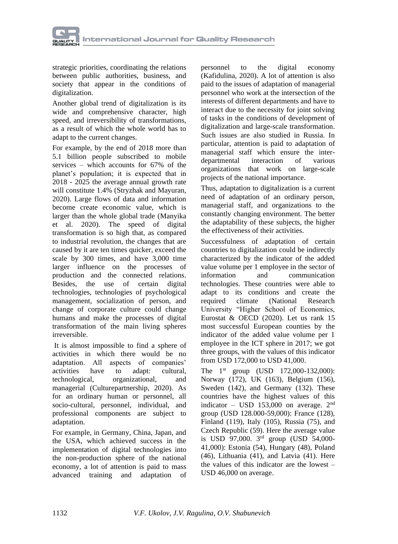

strategic priorities, coordinating the relations between public authorities, business, and society that appear in the conditions of digitalization.

Another global trend of digitalization is its wide and comprehensive character, high speed, and irreversibility of transformations, as a result of which the whole world has to adapt to the current changes.

For example, by the end of 2018 more than 5.1 billion people subscribed to mobile services – which accounts for 67% of the planet's population; it is expected that in 2018 - 2025 the average annual growth rate will constitute 1.4% (Stryzhak and Mayuran, 2020). Large flows of data and information become create economic value, which is larger than the whole global trade (Manyika et al. 2020). The speed of digital transformation is so high that, as compared to industrial revolution, the changes that are caused by it are ten times quicker, exceed the scale by 300 times, and have 3,000 time larger influence on the processes of production and the connected relations. Besides, the use of certain digital technologies, technologies of psychological management, socialization of person, and change of corporate culture could change humans and make the processes of digital transformation of the main living spheres irreversible.

It is almost impossible to find a sphere of activities in which there would be no adaptation. All aspects of companies' activities have to adapt: cultural, technological, organizational, and managerial (Culturepartnership, 2020). As for an ordinary human or personnel, all socio-cultural, personnel, individual, and professional components are subject to adaptation.

For example, in Germany, China, Japan, and the USA, which achieved success in the implementation of digital technologies into the non-production sphere of the national economy, a lot of attention is paid to mass advanced training and adaptation of

personnel to the digital economy (Kafidulina, 2020). A lot of attention is also paid to the issues of adaptation of managerial personnel who work at the intersection of the interests of different departments and have to interact due to the necessity for joint solving of tasks in the conditions of development of digitalization and large-scale transformation. Such issues are also studied in Russia. In particular, attention is paid to adaptation of managerial staff which ensure the interdepartmental interaction of various organizations that work on large-scale projects of the national importance.

Thus, adaptation to digitalization is a current need of adaptation of an ordinary person, managerial staff, and organizations to the constantly changing environment. The better the adaptability of these subjects, the higher the effectiveness of their activities.

Successfulness of adaptation of certain countries to digitalization could be indirectly characterized by the indicator of the added value volume per 1 employee in the sector of information and communication technologies. These countries were able to adapt to its conditions and create the required climate (National Research University "Higher School of Economics, Eurostat & OECD (2020). Let us rank 15 most successful European counties by the indicator of the added value volume per 1 employee in the ICT sphere in 2017; we got three groups, with the values of this indicator from USD 172,000 to USD 41,000.

The  $1^{st}$  group (USD 172,000-132,000): Norway (172), UK (163), Belgium (156), Sweden (142), and Germany (132). These countries have the highest values of this indicator – USD 153,000 on average.  $2<sup>nd</sup>$ group (USD 128.000-59,000): France (128), Finland (119), Italy (105), Russia (75), and Czech Republic (59). Here the average value is USD 97,000. 3rd group (USD 54,000- 41,000): Estonia (54), Hungary (48), Poland (46), Lithuania (41), and Latvia (41). Here the values of this indicator are the lowest – USD 46,000 on average.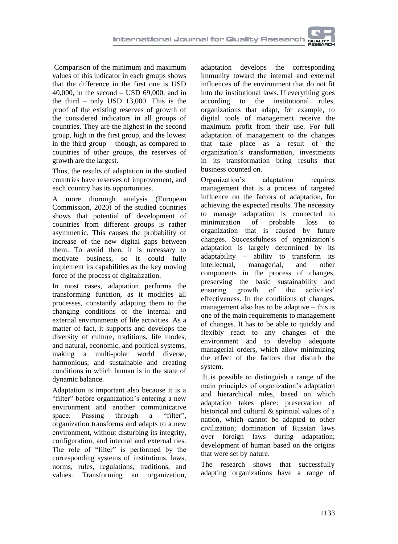Comparison of the minimum and maximum values of this indicator in each groups shows that the difference in the first one is USD 40,000, in the second – USD 69,000, and in the third – only USD 13,000. This is the proof of the existing reserves of growth of the considered indicators in all groups of countries. They are the highest in the second group, high in the first group, and the lowest in the third group – though, as compared to countries of other groups, the reserves of growth are the largest.

Thus, the results of adaptation in the studied countries have reserves of improvement, and each country has its opportunities.

A more thorough analysis (European Commission, 2020) of the studied countries shows that potential of development of countries from different groups is rather asymmetric. This causes the probability of increase of the new digital gaps between them. To avoid then, it is necessary to motivate business, so it could fully implement its capabilities as the key moving force of the process of digitalization.

In most cases, adaptation performs the transforming function, as it modifies all processes, constantly adapting them to the changing conditions of the internal and external environments of life activities. As a matter of fact, it supports and develops the diversity of culture, traditions, life modes, and natural, economic, and political systems, making a multi-polar world diverse, harmonious, and sustainable and creating conditions in which human is in the state of dynamic balance.

Adaptation is important also because it is a "filter" before organization's entering a new environment and another communicative space. Passing through a "filter", organization transforms and adapts to a new environment, without disturbing its integrity, configuration, and internal and external ties. The role of "filter" is performed by the corresponding systems of institutions, laws, norms, rules, regulations, traditions, and values. Transforming an organization,

adaptation develops the corresponding immunity toward the internal and external influences of the environment that do not fit into the institutional laws. If everything goes according to the institutional rules, organizations that adapt, for example, to digital tools of management receive the maximum profit from their use. For full adaptation of management to the changes that take place as a result of the organization's transformation, investments in its transformation bring results that business counted on.

Organization's adaptation requires management that is a process of targeted influence on the factors of adaptation, for achieving the expected results. The necessity to manage adaptation is connected to minimization of probable loss to organization that is caused by future changes. Successfulness of organization's adaptation is largely determined by its adaptability – ability to transform its intellectual, managerial, and other components in the process of changes, preserving the basic sustainability and ensuring growth of the activities' effectiveness. In the conditions of changes, management also has to be adaptive – this is one of the main requirements to management of changes. It has to be able to quickly and flexibly react to any changes of the environment and to develop adequate managerial orders, which allow minimizing the effect of the factors that disturb the system.

It is possible to distinguish a range of the main principles of organization's adaptation and hierarchical rules, based on which adaptation takes place: preservation of historical and cultural & spiritual values of a nation, which cannot be adapted to other civilization; domination of Russian laws over foreign laws during adaptation; development of human based on the origins that were set by nature.

The research shows that successfully adapting organizations have a range of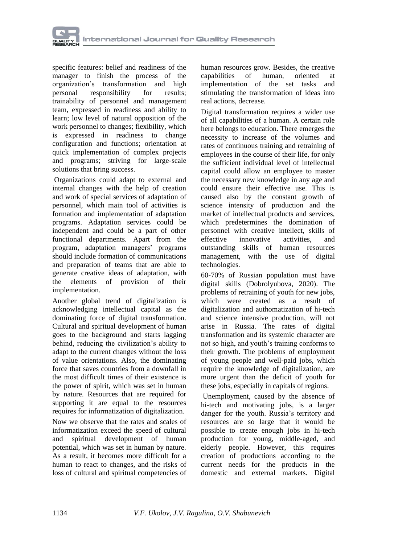

specific features: belief and readiness of the manager to finish the process of the organization's transformation and high personal responsibility for results; trainability of personnel and management team, expressed in readiness and ability to learn; low level of natural opposition of the work personnel to changes; flexibility, which is expressed in readiness to change configuration and functions; orientation at quick implementation of complex projects and programs; striving for large-scale solutions that bring success.

Organizations could adapt to external and internal changes with the help of creation and work of special services of adaptation of personnel, which main tool of activities is formation and implementation of adaptation programs. Adaptation services could be independent and could be a part of other functional departments. Apart from the program, adaptation managers' programs should include formation of communications and preparation of teams that are able to generate creative ideas of adaptation, with the elements of provision of their implementation.

Another global trend of digitalization is acknowledging intellectual capital as the dominating force of digital transformation. Cultural and spiritual development of human goes to the background and starts lagging behind, reducing the civilization's ability to adapt to the current changes without the loss of value orientations. Also, the dominating force that saves countries from a downfall in the most difficult times of their existence is the power of spirit, which was set in human by nature. Resources that are required for supporting it are equal to the resources requires for informatization of digitalization.

Now we observe that the rates and scales of informatization exceed the speed of cultural and spiritual development of human potential, which was set in human by nature. As a result, it becomes more difficult for a human to react to changes, and the risks of loss of cultural and spiritual competencies of

human resources grow. Besides, the creative capabilities of human, oriented at capabilities of human, oriented at implementation of the set tasks and stimulating the transformation of ideas into real actions, decrease.

Digital transformation requires a wider use of all capabilities of a human. A certain role here belongs to education. There emerges the necessity to increase of the volumes and rates of continuous training and retraining of employees in the course of their life, for only the sufficient individual level of intellectual capital could allow an employee to master the necessary new knowledge in any age and could ensure their effective use. This is caused also by the constant growth of science intensity of production and the market of intellectual products and services, which predetermines the domination of personnel with creative intellect, skills of effective innovative activities, and outstanding skills of human resources management, with the use of digital technologies.

60-70% of Russian population must have digital skills (Dobrolyubova, 2020). The problems of retraining of youth for new jobs, which were created as a result of digitalization and authomatization of hi-tech and science intensive production, will not arise in Russia. The rates of digital transformation and its systemic character are not so high, and youth's training conforms to their growth. The problems of employment of young people and well-paid jobs, which require the knowledge of digitalization, are more urgent than the deficit of youth for these jobs, especially in capitals of regions.

Unemployment, caused by the absence of hi-tech and motivating jobs, is a larger danger for the youth. Russia's territory and resources are so large that it would be possible to create enough jobs in hi-tech production for young, middle-aged, and elderly people. However, this requires creation of productions according to the current needs for the products in the domestic and external markets. Digital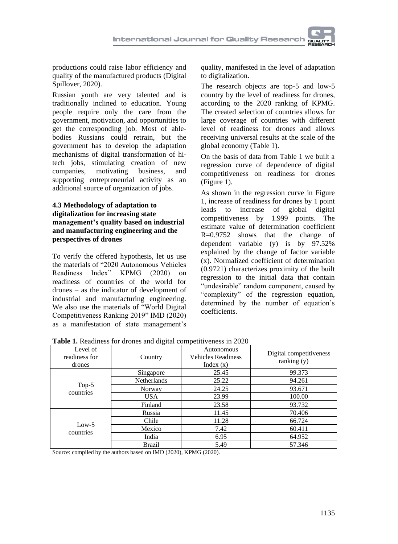

productions could raise labor efficiency and quality of the manufactured products (Digital Spillover, 2020).

Russian youth are very talented and is traditionally inclined to education. Young people require only the care from the government, motivation, and opportunities to get the corresponding job. Most of ablebodies Russians could retrain, but the government has to develop the adaptation mechanisms of digital transformation of hitech jobs, stimulating creation of new companies, motivating business, and supporting entrepreneurial activity as an additional source of organization of jobs.

#### **4.3 Methodology of adaptation to digitalization for increasing state management's quality based on industrial and manufacturing engineering and the perspectives of drones**

To verify the offered hypothesis, let us use the materials of "2020 Autonomous Vehicles Readiness Index" KPMG (2020) on readiness of countries of the world for drones – as the indicator of development of industrial and manufacturing engineering. We also use the materials of "World Digital Competitiveness Ranking 2019" IMD (2020) as a manifestation of state management's quality, manifested in the level of adaptation to digitalization.

The research objects are top-5 and low-5 country by the level of readiness for drones, according to the 2020 ranking of KPMG. The created selection of countries allows for large coverage of countries with different level of readiness for drones and allows receiving universal results at the scale of the global economy (Table 1).

On the basis of data from Table 1 we built a regression curve of dependence of digital competitiveness on readiness for drones (Figure 1).

As shown in the regression curve in Figure 1, increase of readiness for drones by 1 point leads to increase of global digital competitiveness by 1.999 points. The estimate value of determination coefficient R=0.9752 shows that the change of dependent variable (y) is by 97.52% explained by the change of factor variable (x). Normalized coefficient of determination (0.9721) characterizes proximity of the built regression to the initial data that contain "undesirable" random component, caused by "complexity" of the regression equation, determined by the number of equation's coefficients.

| Level of<br>readiness for<br>drones | Country            | Autonomous<br><b>Vehicles Readiness</b><br>Index $(x)$ | Digital competitiveness<br>ranking $(y)$ |
|-------------------------------------|--------------------|--------------------------------------------------------|------------------------------------------|
| $Top-5$<br>countries                | Singapore          | 25.45                                                  | 99.373                                   |
|                                     | <b>Netherlands</b> | 25.22                                                  | 94.261                                   |
|                                     | Norway             | 24.25                                                  | 93.671                                   |
|                                     | <b>USA</b>         | 23.99                                                  | 100.00                                   |
|                                     | Finland            | 23.58                                                  | 93.732                                   |
| Low- $5$<br>countries               | Russia             | 11.45                                                  | 70.406                                   |
|                                     | Chile              | 11.28                                                  | 66.724                                   |
|                                     | Mexico             | 7.42                                                   | 60.411                                   |
|                                     | India              | 6.95                                                   | 64.952                                   |
|                                     | Brazil             | 5.49                                                   | 57.346                                   |

**Table 1.** Readiness for drones and digital competitiveness in 2020

Source: compiled by the authors based on IMD (2020), KPMG (2020).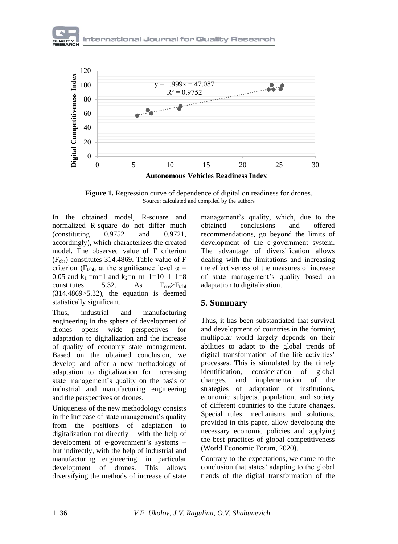



**Figure 1.** Regression curve of dependence of digital on readiness for drones. Source: calculated and compiled by the authors

In the obtained model, R-square and normalized R-square do not differ much (constituting 0.9752 and 0.9721, accordingly), which characterizes the created model. The observed value of F criterion (Fobs) constitutes 314.4869. Table value of F criterion (F<sub>tabl)</sub> at the significance level  $\alpha$  = 0.05 and  $k_1 = m=1$  and  $k_2 = n-m-1=10-1-1=8$ constitutes 5.32. As  $F_{obs} > F_{table}$ (314.4869>5.32), the equation is deemed statistically significant.

Thus, industrial and manufacturing engineering in the sphere of development of drones opens wide perspectives for adaptation to digitalization and the increase of quality of economy state management. Based on the obtained conclusion, we develop and offer a new methodology of adaptation to digitalization for increasing state management's quality on the basis of industrial and manufacturing engineering and the perspectives of drones.

Uniqueness of the new methodology consists in the increase of state management's quality from the positions of adaptation to digitalization not directly – with the help of development of e-government's systems – but indirectly, with the help of industrial and manufacturing engineering, in particular development of drones. This allows diversifying the methods of increase of state

management's quality, which, due to the obtained conclusions and offered recommendations, go beyond the limits of development of the e-government system. The advantage of diversification allows dealing with the limitations and increasing the effectiveness of the measures of increase of state management's quality based on adaptation to digitalization.

### **5. Summary**

Thus, it has been substantiated that survival and development of countries in the forming multipolar world largely depends on their abilities to adapt to the global trends of digital transformation of the life activities' processes. This is stimulated by the timely identification, consideration of global changes, and implementation of the strategies of adaptation of institutions, economic subjects, population, and society of different countries to the future changes. Special rules, mechanisms and solutions, provided in this paper, allow developing the necessary economic policies and applying the best practices of global competitiveness (World Economic Forum, 2020).

Contrary to the expectations, we came to the conclusion that states' adapting to the global trends of the digital transformation of the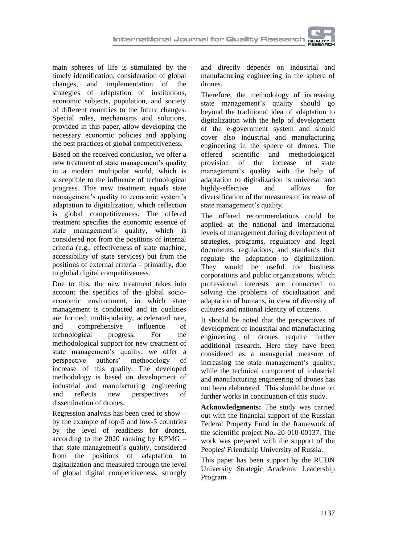main spheres of life is stimulated by the timely identification, consideration of global changes, and implementation of the strategies of adaptation of institutions, economic subjects, population, and society of different countries to the future changes. Special rules, mechanisms and solutions, provided in this paper, allow developing the necessary economic policies and applying the best practices of global competitiveness.

Based on the received conclusion, we offer a new treatment of state management's quality in a modern multipolar world, which is susceptible to the influence of technological progress. This new treatment equals state management's quality to economic system's adaptation to digitalization, which reflection is global competitiveness. The offered treatment specifies the economic essence of state management's quality, which is considered not from the positions of internal criteria (e.g., effectiveness of state machine, accessibility of state services) but from the positions of external criteria – primarily, due to global digital competitiveness.

Due to this, the new treatment takes into account the specifics of the global socioeconomic environment, in which state management is conducted and its qualities are formed: multi-polarity, accelerated rate, and comprehensive influence of technological progress. For the methodological support for new treatment of state management's quality, we offer a perspective authors' methodology of increase of this quality. The developed methodology is based on development of industrial and manufacturing engineering and reflects new perspectives of dissemination of drones.

Regression analysis has been used to show – by the example of top-5 and low-5 countries by the level of readiness for drones, according to the 2020 ranking by KPMG – that state management's quality, considered from the positions of adaptation to digitalization and measured through the level of global digital competitiveness, strongly

and directly depends on industrial and manufacturing engineering in the sphere of drones.

Therefore, the methodology of increasing state management's quality should go beyond the traditional idea of adaptation to digitalization with the help of development of the e-government system and should cover also industrial and manufacturing engineering in the sphere of drones. The offered scientific and methodological provision of the increase of state management's quality with the help of adaptation to digitalization is universal and highly-effective and allows for diversification of the measures of increase of state management's quality.

The offered recommendations could be applied at the national and international levels of management during development of strategies, programs, regulatory and legal documents, regulations, and standards that regulate the adaptation to digitalization. They would be useful for business corporations and public organizations, which professional interests are connected to solving the problems of socialization and adaptation of humans, in view of diversity of cultures and national identity of citizens.

It should be noted that the perspectives of development of industrial and manufacturing engineering of drones require further additional research. Here they have been considered as a managerial measure of increasing the state management's quality, while the technical component of industrial and manufacturing engineering of drones has not been elaborated. This should be done on further works in continuation of this study.

**Acknowledgments:** The study was carried out with the financial support of the Russian Federal Property Fund in the framework of the scientific project No. 20-010-00137. The work was prepared with the support of the Peoples' Friendship University of Russia.

This paper has been support by the RUDN University Strategic Academic Leadership Program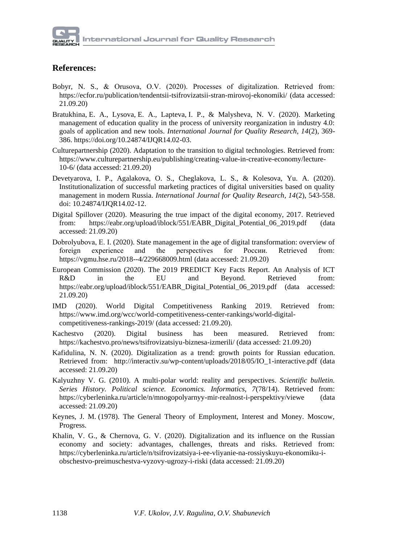

## **References:**

- Bobyr, N. S., & Orusova, О.V. (2020). Processes of digitalization. Retrieved from: <https://ecfor.ru/publication/tendentsii-tsifrovizatsii-stran-mirovoj-ekonomiki/> (data accessed: 21.09.20)
- [Bratukhina,](https://orcid.org/0000-0002-9488-8332) E. [A., Lysova,](https://orcid.org/0000-0002-4803-5398) E. [A., Lapteva,](https://orcid.org/0000-0003-2624-0275) I. [P., & Malysheva,](https://orcid.org/0000-0003-2625-6381) N. V. (2020). Marketing management of education quality in the process of university reorganization in industry 4.0: goals of application and new tools. *International Journal for Quality Research, 14*(2), 369- 386. [https://doi.org/10.24874/IJQR14.02-03.](https://doi.org/10.24874/IJQR14.02-03)
- Culturepartnership (2020). Adaptation to the transition to digital technologies. Retrieved from: [https://www.culturepartnership.eu/publishing/creating-value-in-creative-economy/lecture-](https://www.culturepartnership.eu/publishing/creating-value-in-creative-economy/lecture-10-6)[10-6/](https://www.culturepartnership.eu/publishing/creating-value-in-creative-economy/lecture-10-6) (data accessed: 21.09.20)
- Devetyarova, I. P., Agalakova, O. S., Cheglakova, L. S., & Kolesova, Yu. A. (2020). Institutionalization of successful marketing practices of digital universities based on quality management in modern Russia. *International Journal for Quality Research, 14*(2), 543-558. doi: 10.24874/IJQR14.02-12.
- Digital Spillover (2020). Measuring the true impact of the digital economy, 2017. Retrieved from: [https://eabr.org/upload/iblock/551/EABR\\_Digital\\_Potential\\_06\\_2019.pdf](https://eabr.org/upload/iblock/551/EABR_Digital_Potential_06_2019.pdf) (data accessed: 21.09.20)
- Dobrolyubova, Е. I. (2020). State management in the age of digital transformation: overview of foreign experience and the perspectives for России. Retrieved from: <https://vgmu.hse.ru/2018--4/229668009.html> (data accessed: 21.09.20)
- European Commission (2020). The 2019 PREDICT Key Facts Report. An Analysis of ICT R&D in the EU and Beyond. Retrieved from: [https://eabr.org/upload/iblock/551/EABR\\_Digital\\_Potential\\_06\\_2019.pdf](https://eabr.org/upload/iblock/551/EABR_Digital_Potential_06_2019.pdf) (data accessed: 21.09.20)
- IMD (2020). World Digital Competitiveness Ranking 2019. Retrieved from: [https://www.imd.org/wcc/world-competitiveness-center-rankings/world-digital](https://www.imd.org/wcc/world-competitiveness-center-rankings/world-digital-competitiveness-rankings-2019/)[competitiveness-rankings-2019/](https://www.imd.org/wcc/world-competitiveness-center-rankings/world-digital-competitiveness-rankings-2019/) (data accessed: 21.09.20).
- Kachestvo (2020). Digital business has been measured. Retrieved from: <https://kachestvo.pro/news/tsifrovizatsiyu-biznesa-izmerili/> (data accessed: 21.09.20)
- Kafidulina, N. N. (2020). Digitalization as a trend: growth points for Russian education. Retrieved from: [http://interactiv.su/wp-content/uploads/2018/05/IO\\_1-interactive.pdf](http://interactiv.su/wp-content/uploads/2018/05/IO_1-interactive.pdf) (data accessed: 21.09.20)
- Kalyuzhny V. G. (2010). A multi-polar world: reality and perspectives. *Scientific bulletin. Series History. Political science. Economics. Informatics, 7*(78/14). Retrieved from: <https://cyberleninka.ru/article/n/mnogopolyarnyy-mir-realnost-i-perspektivy/viewe> (data accessed: 21.09.20)
- Keynes, J. M. (1978). The General Theory of Employment, Interest and Money. Moscow, Progress.
- Khalin, V. G., & Chernova, G. V. (2020). Digitalization and its influence on the Russian economy and society: advantages, challenges, threats and risks. Retrieved from: [https://cyberleninka.ru/article/n/tsifrovizatsiya-i-ee-vliyanie-na-rossiyskuyu-ekonomiku-i](https://cyberleninka.ru/article/n/tsifrovizatsiya-i-ee-vliyanie-na-rossiyskuyu-ekonomiku-i-obschestvo-preimuschestva-vyzovy-ugrozy-i-riski)[obschestvo-preimuschestva-vyzovy-ugrozy-i-riski](https://cyberleninka.ru/article/n/tsifrovizatsiya-i-ee-vliyanie-na-rossiyskuyu-ekonomiku-i-obschestvo-preimuschestva-vyzovy-ugrozy-i-riski) (data accessed: 21.09.20)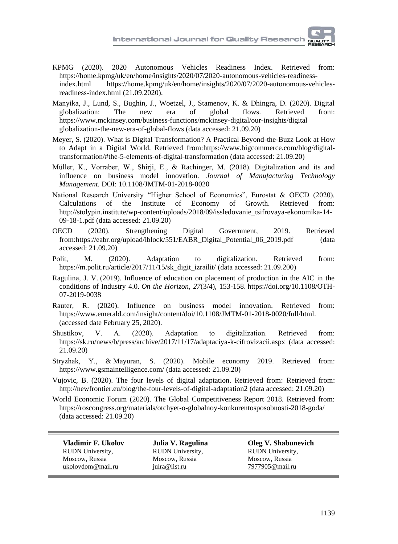- KPMG (2020). 2020 Autonomous Vehicles Readiness Index. Retrieved from: [https://home.kpmg/uk/en/home/insights/2020/07/2020-autonomous-vehicles-readiness](https://home.kpmg/uk/en/home/insights/2020/07/2020-autonomous-vehicles-readiness-index.html)[index.html](https://home.kpmg/uk/en/home/insights/2020/07/2020-autonomous-vehicles-readiness-index.html) [https://home.kpmg/uk/en/home/insights/2020/07/2020-autonomous-vehicles](https://home.kpmg/uk/en/home/insights/2020/07/2020-autonomous-vehicles-readiness-index.html)[readiness-index.html](https://home.kpmg/uk/en/home/insights/2020/07/2020-autonomous-vehicles-readiness-index.html) (21.09.2020).
- Manyika, J., Lund, S., Bughin, J., Woetzel, J., Stamenov, K. & Dhingra, D. (2020). Digital globalization: The new era of global flows. Retrieved from: https://www.mckinsey.com/business-functions/mckinsey-digital/our-insights/digital globalization-the-new-era-of-global-flows (data accessed: 21.09.20)
- Meyer, S. (2020). What is Digital Transformation? A Practical Beyond-the-Buzz Look at How to Adapt in a Digital World. Retrieved from[:https://www.bigcommerce.com/blog/digital](https://www.bigcommerce.com/blog/digital-transformation/#the-5-elements-of-digital-transformation)[transformation/#the-5-elements-of-digital-transformation](https://www.bigcommerce.com/blog/digital-transformation/#the-5-elements-of-digital-transformation) (data accessed: 21.09.20)
- Müller, K., Vorraber, W., Shirji, E., & Rachinger, M. (2018). Digitalization and its and influence on business model innovation. *[Journal of Manufacturing Technology](https://www.researchgate.net/journal/1741-038X_Journal_of_Manufacturing_Technology_Management)  [Management.](https://www.researchgate.net/journal/1741-038X_Journal_of_Manufacturing_Technology_Management)* DOI: [10.1108/JMTM-01-2018-0020](https://www.researchgate.net/deref/http%3A%2F%2Fdx.doi.org%2F10.1108%2FJMTM-01-2018-0020)
- National Research University "Higher School of Economics", Eurostat & OECD (2020). Calculations of the Institute of Economy of Growth. Retrieved from: [http://stolypin.institute/wp-content/uploads/2018/09/issledovanie\\_tsifrovaya-ekonomika-14-](http://stolypin.institute/wp-content/uploads/2018/09/issledovanie_tsifrovaya-ekonomika-14-09-18-1.pdf) [09-18-1.pdf](http://stolypin.institute/wp-content/uploads/2018/09/issledovanie_tsifrovaya-ekonomika-14-09-18-1.pdf) (data accessed: 21.09.20)
- OECD (2020). Strengthening Digital Government, 2019. Retrieved from[:https://eabr.org/upload/iblock/551/EABR\\_Digital\\_Potential\\_06\\_2019.pdf](https://eabr.org/upload/iblock/551/EABR_Digital_Potential_06_2019.pdf) (data accessed: 21.09.20)
- Polit, M. (2020). Adaptation to digitalization. Retrieved from: [https://m.polit.ru/article/2017/11/15/sk\\_digit\\_izrailit/](https://m.polit.ru/article/2017/11/15/sk_digit_izrailit/) (data accessed: 21.09.200)
- [Ragulina, J. V.](https://www.emerald.com/insight/search?q=Julia%20V.%20Ragulina) (2019). Influence of education on placement of production in the AIC in the conditions of Industry 4.0. *[On the Horizon](https://www.emerald.com/insight/publication/issn/1074-8121)*, *27*(3/4), 153-158. [https://doi.org/10.1108/OTH-](https://doi.org/10.1108/OTH-07-2019-0038)[07-2019-0038](https://doi.org/10.1108/OTH-07-2019-0038)
- Rauter, R. (2020). Influence on business model innovation. Retrieved from: https://www.emerald.com/insight/content/doi/10.1108/JMTM-01-2018-0020/full/html. (accessed date February 25, 2020).
- Shustikov, V. A. (2020). Adaptation to digitalization. Retrieved from: <https://sk.ru/news/b/press/archive/2017/11/17/adaptaciya-k-cifrovizacii.aspx> (data accessed: 21.09.20)
- [Stryzhak,](https://www.gsmaintelligence.com/research/authors/jan-stryjak/) Y., & Mayuran, S. (2020). Mobile economy [2019.](2019) Retrieved from: <https://www.gsmaintelligence.com/> (data accessed: 21.09.20)
- Vujovic, B. (2020). The four levels of digital adaptation. Retrieved from: [Retrieved from:](file:///D:/Рабочие%20документы/Работа/2020/+++Сводный%20список%20статей%20для%20Качества%20(29.6.20)/+++Доп.%20статьи/Статья%20Ю.В.%20Рагулиной%20под%20Качество%20(14.9.20)/ИТОГ/%20Retrieved%20from:%20http:/newfrontier.eu/blog/the-four-levels-of-digital-adaptation2)  [http://newfrontier.eu/blog/the-four-levels-of-digital-adaptation2](file:///D:/Рабочие%20документы/Работа/2020/+++Сводный%20список%20статей%20для%20Качества%20(29.6.20)/+++Доп.%20статьи/Статья%20Ю.В.%20Рагулиной%20под%20Качество%20(14.9.20)/ИТОГ/%20Retrieved%20from:%20http:/newfrontier.eu/blog/the-four-levels-of-digital-adaptation2) (data accessed: 21.09.20)
- World Economic Forum (2020). The Global Competitiveness Report 2018. Retrieved from: <https://roscongress.org/materials/otchyet-o-globalnoy-konkurentosposobnosti-2018-goda/> (data accessed: 21.09.20)

**Vladimir F. Ukolov** RUDN University, Moscow, Russia [ukolovdom@mail.ru](mailto:ukolovdom@mail.ru)

**Julia V. Ragulina** RUDN University, Moscow, Russia [julra@list.ru](mailto:julra@list.ru)

**Oleg V. Shabunevich** RUDN University, Moscow, Russia [7977905@mail.ru](mailto:7977905@mail.ru)